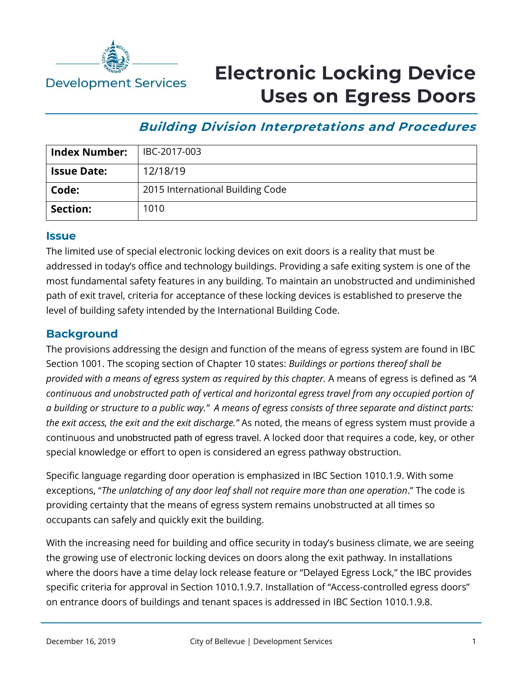

# **Electronic Locking Device Uses on Egress Doors**

## **Building Division Interpretations and Procedures**

| <b>Index Number:</b> | IBC-2017-003                     |
|----------------------|----------------------------------|
| <b>Issue Date:</b>   | 12/18/19                         |
| Code:                | 2015 International Building Code |
| Section:             | 1010                             |

#### **Issue**

The limited use of special electronic locking devices on exit doors is a reality that must be addressed in today's office and technology buildings. Providing a safe exiting system is one of the most fundamental safety features in any building. To maintain an unobstructed and undiminished path of exit travel, criteria for acceptance of these locking devices is established to preserve the level of building safety intended by the International Building Code.

### **Background**

The provisions addressing the design and function of the means of egress system are found in IBC Section 1001. The scoping section of Chapter 10 states: *Buildings or portions thereof shall be provided with a means of egress system as required by this chapter.* A means of egress is defined as *"A continuous and unobstructed path of vertical and horizontal egress travel from any occupied portion of a building or structure to a public way." A means of egress consists of three separate and distinct parts: the exit access, the exit and the exit discharge."* As noted, the means of egress system must provide a continuous and unobstructed path of egress travel. A locked door that requires a code, key, or other special knowledge or effort to open is considered an egress pathway obstruction.

Specific language regarding door operation is emphasized in IBC Section 1010.1.9. With some exceptions, "*The unlatching of any door leaf shall not require more than one operation*." The code is providing certainty that the means of egress system remains unobstructed at all times so occupants can safely and quickly exit the building.

With the increasing need for building and office security in today's business climate, we are seeing the growing use of electronic locking devices on doors along the exit pathway. In installations where the doors have a time delay lock release feature or "Delayed Egress Lock," the IBC provides specific criteria for approval in Section 1010.1.9.7. Installation of "Access-controlled egress doors" on entrance doors of buildings and tenant spaces is addressed in IBC Section 1010.1.9.8.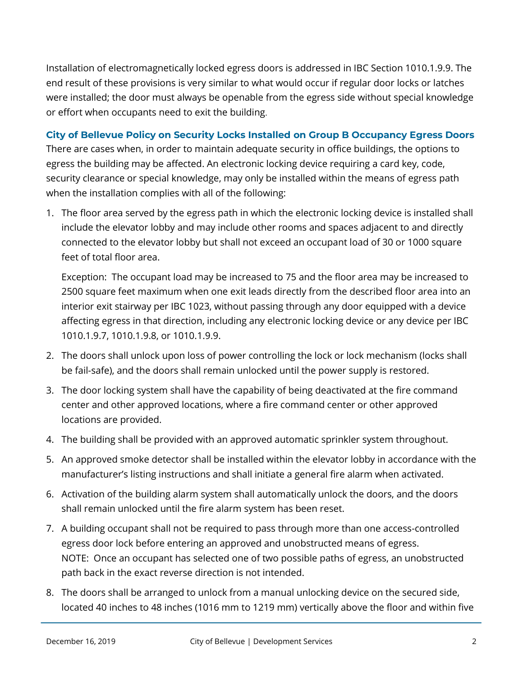Installation of electromagnetically locked egress doors is addressed in IBC Section 1010.1.9.9. The end result of these provisions is very similar to what would occur if regular door locks or latches were installed; the door must always be openable from the egress side without special knowledge or effort when occupants need to exit the building.

#### **City of Bellevue Policy on Security Locks Installed on Group B Occupancy Egress Doors**

There are cases when, in order to maintain adequate security in office buildings, the options to egress the building may be affected. An electronic locking device requiring a card key, code, security clearance or special knowledge, may only be installed within the means of egress path when the installation complies with all of the following:

1. The floor area served by the egress path in which the electronic locking device is installed shall include the elevator lobby and may include other rooms and spaces adjacent to and directly connected to the elevator lobby but shall not exceed an occupant load of 30 or 1000 square feet of total floor area.

Exception: The occupant load may be increased to 75 and the floor area may be increased to 2500 square feet maximum when one exit leads directly from the described floor area into an interior exit stairway per IBC 1023, without passing through any door equipped with a device affecting egress in that direction, including any electronic locking device or any device per IBC 1010.1.9.7, 1010.1.9.8, or 1010.1.9.9.

- 2. The doors shall unlock upon loss of power controlling the lock or lock mechanism (locks shall be fail-safe), and the doors shall remain unlocked until the power supply is restored.
- 3. The door locking system shall have the capability of being deactivated at the fire command center and other approved locations, where a fire command center or other approved locations are provided.
- 4. The building shall be provided with an approved automatic sprinkler system throughout.
- 5. An approved smoke detector shall be installed within the elevator lobby in accordance with the manufacturer's listing instructions and shall initiate a general fire alarm when activated.
- 6. Activation of the building alarm system shall automatically unlock the doors, and the doors shall remain unlocked until the fire alarm system has been reset.
- 7. A building occupant shall not be required to pass through more than one access-controlled egress door lock before entering an approved and unobstructed means of egress. NOTE: Once an occupant has selected one of two possible paths of egress, an unobstructed path back in the exact reverse direction is not intended.
- 8. The doors shall be arranged to unlock from a manual unlocking device on the secured side, located 40 inches to 48 inches (1016 mm to 1219 mm) vertically above the floor and within five